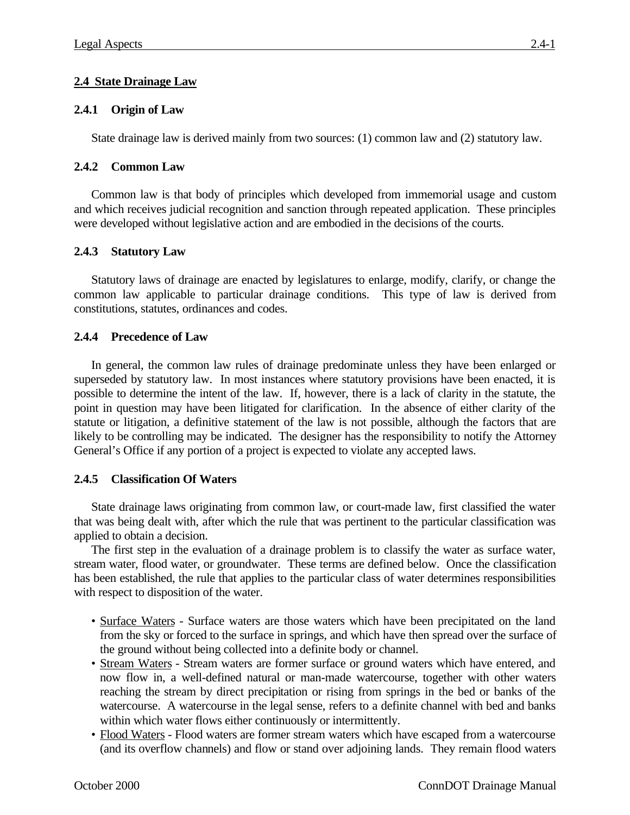# **2.4 State Drainage Law**

# **2.4.1 Origin of Law**

State drainage law is derived mainly from two sources: (1) common law and (2) statutory law.

## **2.4.2 Common Law**

Common law is that body of principles which developed from immemorial usage and custom and which receives judicial recognition and sanction through repeated application. These principles were developed without legislative action and are embodied in the decisions of the courts.

## **2.4.3 Statutory Law**

Statutory laws of drainage are enacted by legislatures to enlarge, modify, clarify, or change the common law applicable to particular drainage conditions. This type of law is derived from constitutions, statutes, ordinances and codes.

## **2.4.4 Precedence of Law**

In general, the common law rules of drainage predominate unless they have been enlarged or superseded by statutory law. In most instances where statutory provisions have been enacted, it is possible to determine the intent of the law. If, however, there is a lack of clarity in the statute, the point in question may have been litigated for clarification. In the absence of either clarity of the statute or litigation, a definitive statement of the law is not possible, although the factors that are likely to be controlling may be indicated. The designer has the responsibility to notify the Attorney General's Office if any portion of a project is expected to violate any accepted laws.

### **2.4.5 Classification Of Waters**

State drainage laws originating from common law, or court-made law, first classified the water that was being dealt with, after which the rule that was pertinent to the particular classification was applied to obtain a decision.

The first step in the evaluation of a drainage problem is to classify the water as surface water, stream water, flood water, or groundwater. These terms are defined below. Once the classification has been established, the rule that applies to the particular class of water determines responsibilities with respect to disposition of the water.

- Surface Waters Surface waters are those waters which have been precipitated on the land from the sky or forced to the surface in springs, and which have then spread over the surface of the ground without being collected into a definite body or channel.
- Stream Waters Stream waters are former surface or ground waters which have entered, and now flow in, a well-defined natural or man-made watercourse, together with other waters reaching the stream by direct precipitation or rising from springs in the bed or banks of the watercourse. A watercourse in the legal sense, refers to a definite channel with bed and banks within which water flows either continuously or intermittently.
- Flood Waters Flood waters are former stream waters which have escaped from a watercourse (and its overflow channels) and flow or stand over adjoining lands. They remain flood waters